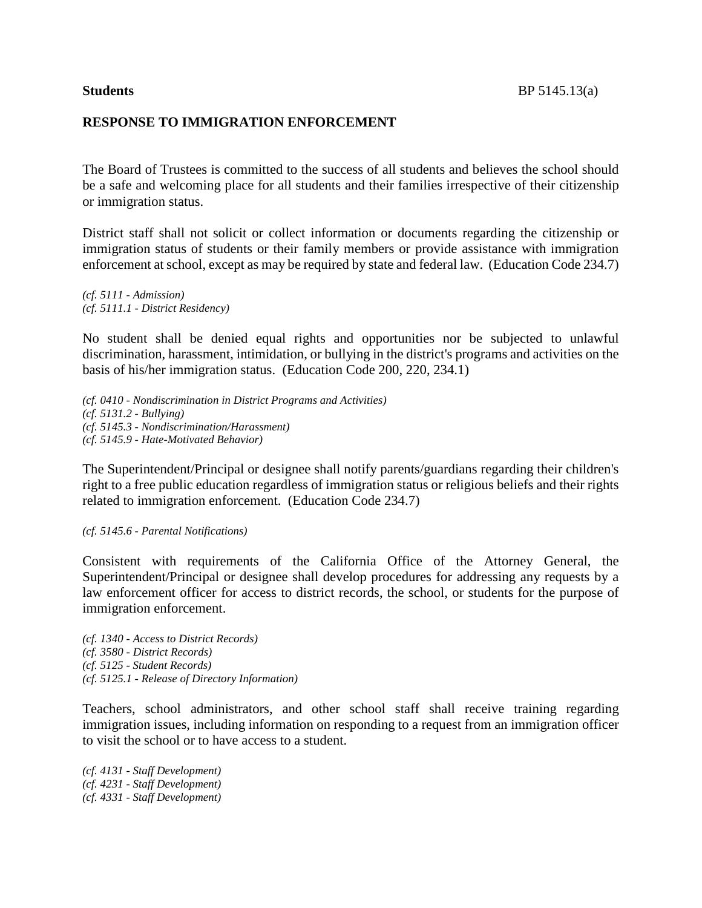## **RESPONSE TO IMMIGRATION ENFORCEMENT**

The Board of Trustees is committed to the success of all students and believes the school should be a safe and welcoming place for all students and their families irrespective of their citizenship or immigration status.

District staff shall not solicit or collect information or documents regarding the citizenship or immigration status of students or their family members or provide assistance with immigration enforcement at school, except as may be required by state and federal law. (Education Code 234.7)

*(cf. 5111 - Admission) (cf. 5111.1 - District Residency)*

No student shall be denied equal rights and opportunities nor be subjected to unlawful discrimination, harassment, intimidation, or bullying in the district's programs and activities on the basis of his/her immigration status. (Education Code 200, 220, 234.1)

*(cf. 0410 - Nondiscrimination in District Programs and Activities) (cf. 5131.2 - Bullying) (cf. 5145.3 - Nondiscrimination/Harassment) (cf. 5145.9 - Hate-Motivated Behavior)*

The Superintendent/Principal or designee shall notify parents/guardians regarding their children's right to a free public education regardless of immigration status or religious beliefs and their rights related to immigration enforcement. (Education Code 234.7)

### *(cf. 5145.6 - Parental Notifications)*

Consistent with requirements of the California Office of the Attorney General, the Superintendent/Principal or designee shall develop procedures for addressing any requests by a law enforcement officer for access to district records, the school, or students for the purpose of immigration enforcement.

*(cf. 1340 - Access to District Records) (cf. 3580 - District Records) (cf. 5125 - Student Records) (cf. 5125.1 - Release of Directory Information)*

Teachers, school administrators, and other school staff shall receive training regarding immigration issues, including information on responding to a request from an immigration officer to visit the school or to have access to a student.

*(cf. 4131 - Staff Development) (cf. 4231 - Staff Development) (cf. 4331 - Staff Development)*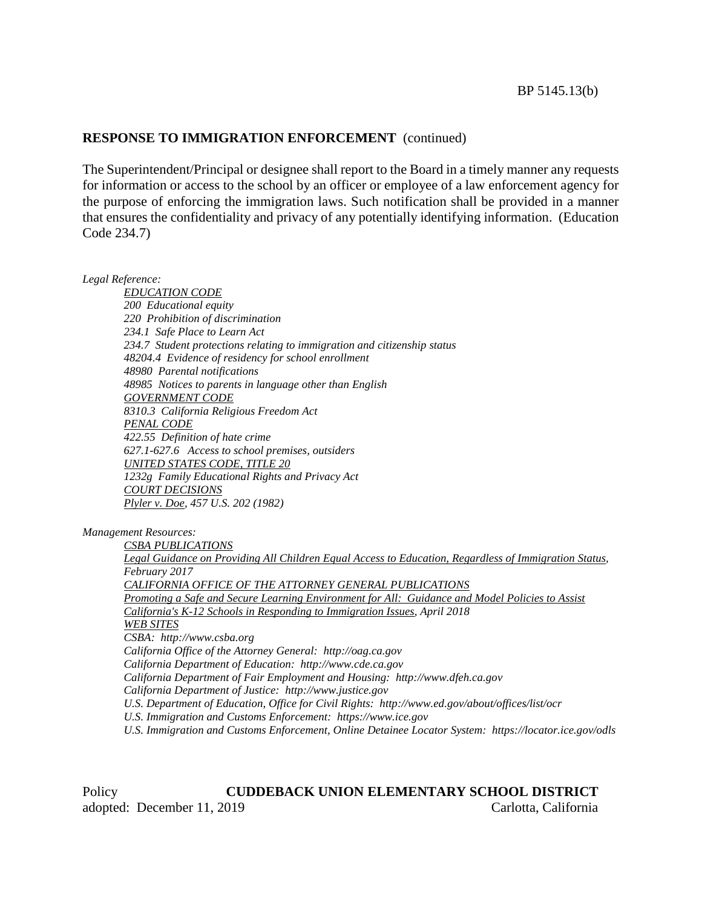The Superintendent/Principal or designee shall report to the Board in a timely manner any requests for information or access to the school by an officer or employee of a law enforcement agency for the purpose of enforcing the immigration laws. Such notification shall be provided in a manner that ensures the confidentiality and privacy of any potentially identifying information. (Education Code 234.7)

*Legal Reference:*

*EDUCATION CODE 200 Educational equity 220 Prohibition of discrimination 234.1 Safe Place to Learn Act 234.7 Student protections relating to immigration and citizenship status 48204.4 Evidence of residency for school enrollment 48980 Parental notifications 48985 Notices to parents in language other than English GOVERNMENT CODE 8310.3 California Religious Freedom Act PENAL CODE 422.55 Definition of hate crime 627.1-627.6 Access to school premises, outsiders UNITED STATES CODE, TITLE 20 1232g Family Educational Rights and Privacy Act COURT DECISIONS Plyler v. Doe, 457 U.S. 202 (1982)*

*Management Resources:*

*CSBA PUBLICATIONS Legal Guidance on Providing All Children Equal Access to Education, Regardless of Immigration Status, February 2017 CALIFORNIA OFFICE OF THE ATTORNEY GENERAL PUBLICATIONS Promoting a Safe and Secure Learning Environment for All: Guidance and Model Policies to Assist California's K-12 Schools in Responding to Immigration Issues, April 2018 WEB SITES CSBA: http://www.csba.org California Office of the Attorney General: http://oag.ca.gov California Department of Education: http://www.cde.ca.gov California Department of Fair Employment and Housing: http://www.dfeh.ca.gov California Department of Justice: http://www.justice.gov U.S. Department of Education, Office for Civil Rights: http://www.ed.gov/about/offices/list/ocr U.S. Immigration and Customs Enforcement: https://www.ice.gov U.S. Immigration and Customs Enforcement, Online Detainee Locator System: https://locator.ice.gov/odls*

Policy **CUDDEBACK UNION ELEMENTARY SCHOOL DISTRICT** adopted: December 11, 2019 Carlotta, California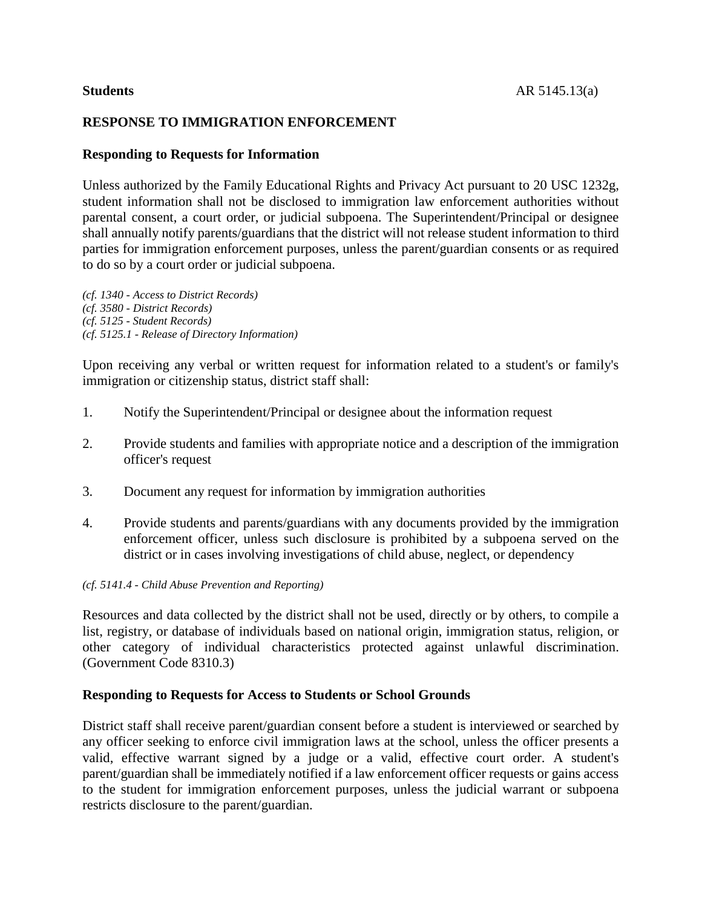# **RESPONSE TO IMMIGRATION ENFORCEMENT**

## **Responding to Requests for Information**

Unless authorized by the Family Educational Rights and Privacy Act pursuant to 20 USC 1232g, student information shall not be disclosed to immigration law enforcement authorities without parental consent, a court order, or judicial subpoena. The Superintendent/Principal or designee shall annually notify parents/guardians that the district will not release student information to third parties for immigration enforcement purposes, unless the parent/guardian consents or as required to do so by a court order or judicial subpoena.

*(cf. 1340 - Access to District Records) (cf. 3580 - District Records) (cf. 5125 - Student Records) (cf. 5125.1 - Release of Directory Information)*

Upon receiving any verbal or written request for information related to a student's or family's immigration or citizenship status, district staff shall:

- 1. Notify the Superintendent/Principal or designee about the information request
- 2. Provide students and families with appropriate notice and a description of the immigration officer's request
- 3. Document any request for information by immigration authorities
- 4. Provide students and parents/guardians with any documents provided by the immigration enforcement officer, unless such disclosure is prohibited by a subpoena served on the district or in cases involving investigations of child abuse, neglect, or dependency

### *(cf. 5141.4 - Child Abuse Prevention and Reporting)*

Resources and data collected by the district shall not be used, directly or by others, to compile a list, registry, or database of individuals based on national origin, immigration status, religion, or other category of individual characteristics protected against unlawful discrimination. (Government Code 8310.3)

## **Responding to Requests for Access to Students or School Grounds**

District staff shall receive parent/guardian consent before a student is interviewed or searched by any officer seeking to enforce civil immigration laws at the school, unless the officer presents a valid, effective warrant signed by a judge or a valid, effective court order. A student's parent/guardian shall be immediately notified if a law enforcement officer requests or gains access to the student for immigration enforcement purposes, unless the judicial warrant or subpoena restricts disclosure to the parent/guardian.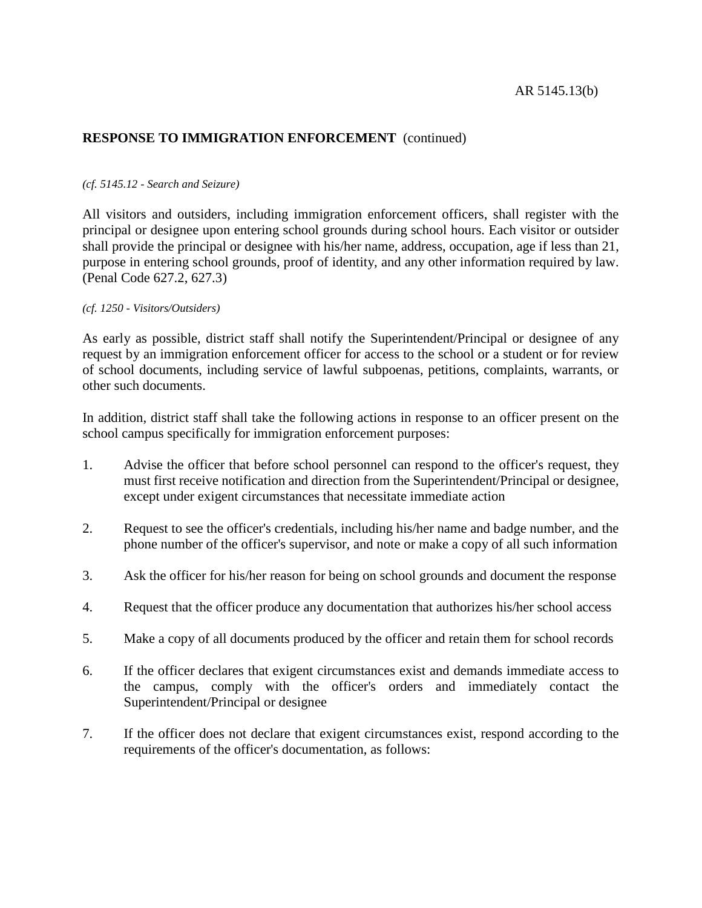### *(cf. 5145.12 - Search and Seizure)*

All visitors and outsiders, including immigration enforcement officers, shall register with the principal or designee upon entering school grounds during school hours. Each visitor or outsider shall provide the principal or designee with his/her name, address, occupation, age if less than 21, purpose in entering school grounds, proof of identity, and any other information required by law. (Penal Code 627.2, 627.3)

## *(cf. 1250 - Visitors/Outsiders)*

As early as possible, district staff shall notify the Superintendent/Principal or designee of any request by an immigration enforcement officer for access to the school or a student or for review of school documents, including service of lawful subpoenas, petitions, complaints, warrants, or other such documents.

In addition, district staff shall take the following actions in response to an officer present on the school campus specifically for immigration enforcement purposes:

- 1. Advise the officer that before school personnel can respond to the officer's request, they must first receive notification and direction from the Superintendent/Principal or designee, except under exigent circumstances that necessitate immediate action
- 2. Request to see the officer's credentials, including his/her name and badge number, and the phone number of the officer's supervisor, and note or make a copy of all such information
- 3. Ask the officer for his/her reason for being on school grounds and document the response
- 4. Request that the officer produce any documentation that authorizes his/her school access
- 5. Make a copy of all documents produced by the officer and retain them for school records
- 6. If the officer declares that exigent circumstances exist and demands immediate access to the campus, comply with the officer's orders and immediately contact the Superintendent/Principal or designee
- 7. If the officer does not declare that exigent circumstances exist, respond according to the requirements of the officer's documentation, as follows: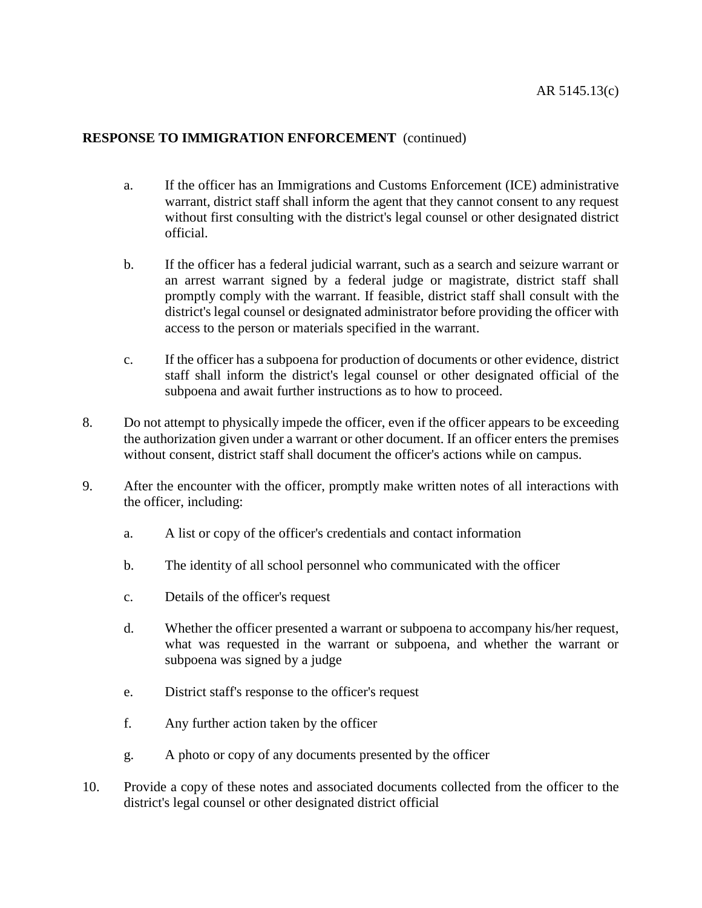- a. If the officer has an Immigrations and Customs Enforcement (ICE) administrative warrant, district staff shall inform the agent that they cannot consent to any request without first consulting with the district's legal counsel or other designated district official.
- b. If the officer has a federal judicial warrant, such as a search and seizure warrant or an arrest warrant signed by a federal judge or magistrate, district staff shall promptly comply with the warrant. If feasible, district staff shall consult with the district's legal counsel or designated administrator before providing the officer with access to the person or materials specified in the warrant.
- c. If the officer has a subpoena for production of documents or other evidence, district staff shall inform the district's legal counsel or other designated official of the subpoena and await further instructions as to how to proceed.
- 8. Do not attempt to physically impede the officer, even if the officer appears to be exceeding the authorization given under a warrant or other document. If an officer enters the premises without consent, district staff shall document the officer's actions while on campus.
- 9. After the encounter with the officer, promptly make written notes of all interactions with the officer, including:
	- a. A list or copy of the officer's credentials and contact information
	- b. The identity of all school personnel who communicated with the officer
	- c. Details of the officer's request
	- d. Whether the officer presented a warrant or subpoena to accompany his/her request, what was requested in the warrant or subpoena, and whether the warrant or subpoena was signed by a judge
	- e. District staff's response to the officer's request
	- f. Any further action taken by the officer
	- g. A photo or copy of any documents presented by the officer
- 10. Provide a copy of these notes and associated documents collected from the officer to the district's legal counsel or other designated district official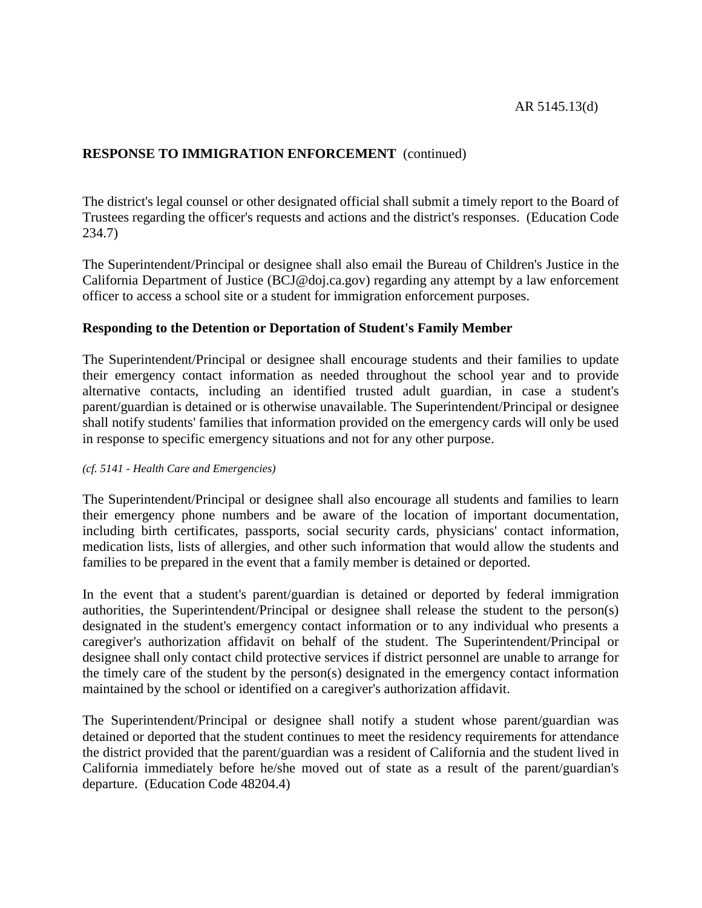The district's legal counsel or other designated official shall submit a timely report to the Board of Trustees regarding the officer's requests and actions and the district's responses. (Education Code 234.7)

The Superintendent/Principal or designee shall also email the Bureau of Children's Justice in the California Department of Justice (BCJ@doj.ca.gov) regarding any attempt by a law enforcement officer to access a school site or a student for immigration enforcement purposes.

# **Responding to the Detention or Deportation of Student's Family Member**

The Superintendent/Principal or designee shall encourage students and their families to update their emergency contact information as needed throughout the school year and to provide alternative contacts, including an identified trusted adult guardian, in case a student's parent/guardian is detained or is otherwise unavailable. The Superintendent/Principal or designee shall notify students' families that information provided on the emergency cards will only be used in response to specific emergency situations and not for any other purpose.

## *(cf. 5141 - Health Care and Emergencies)*

The Superintendent/Principal or designee shall also encourage all students and families to learn their emergency phone numbers and be aware of the location of important documentation, including birth certificates, passports, social security cards, physicians' contact information, medication lists, lists of allergies, and other such information that would allow the students and families to be prepared in the event that a family member is detained or deported.

In the event that a student's parent/guardian is detained or deported by federal immigration authorities, the Superintendent/Principal or designee shall release the student to the person(s) designated in the student's emergency contact information or to any individual who presents a caregiver's authorization affidavit on behalf of the student. The Superintendent/Principal or designee shall only contact child protective services if district personnel are unable to arrange for the timely care of the student by the person(s) designated in the emergency contact information maintained by the school or identified on a caregiver's authorization affidavit.

The Superintendent/Principal or designee shall notify a student whose parent/guardian was detained or deported that the student continues to meet the residency requirements for attendance the district provided that the parent/guardian was a resident of California and the student lived in California immediately before he/she moved out of state as a result of the parent/guardian's departure. (Education Code 48204.4)